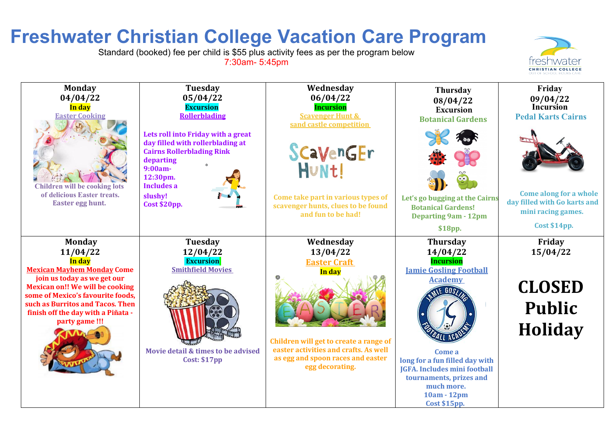## **Freshwater Christian College Vacation Care Program**

Standard (booked) fee per child is \$55 plus activity fees as per the program below 7:30am- 5:45pm